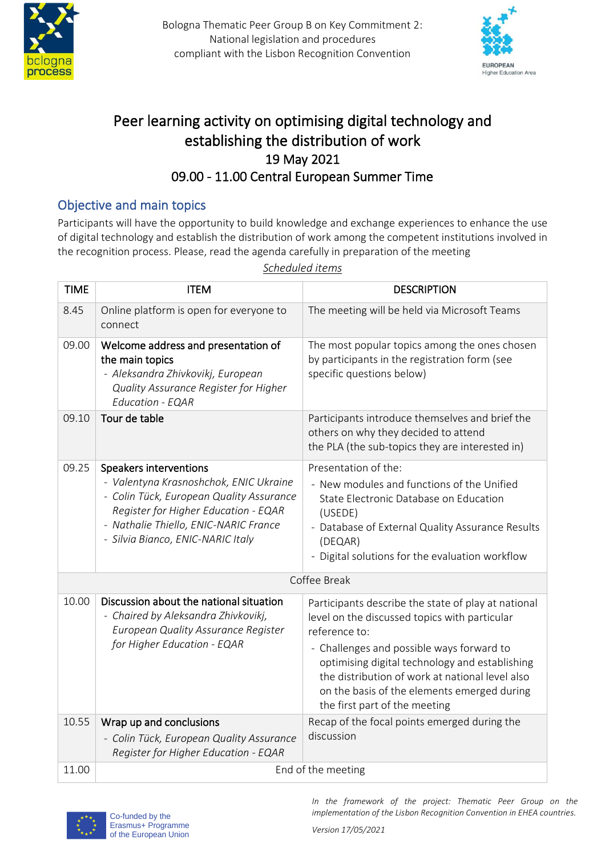



## Peer learning activity on optimising digital technology and establishing the distribution of work 19 May 2021 09.00 - 11.00 Central European Summer Time

## Objective and main topics

Participants will have the opportunity to build knowledge and exchange experiences to enhance the use of digital technology and establish the distribution of work among the competent institutions involved in the recognition process. Please, read the agenda carefully in preparation of the meeting

| <b>TIME</b>  | <b>ITEM</b>                                                                                                                                                                                                                        | <b>DESCRIPTION</b>                                                                                                                                                                                                                                                                                                                                      |
|--------------|------------------------------------------------------------------------------------------------------------------------------------------------------------------------------------------------------------------------------------|---------------------------------------------------------------------------------------------------------------------------------------------------------------------------------------------------------------------------------------------------------------------------------------------------------------------------------------------------------|
| 8.45         | Online platform is open for everyone to<br>connect                                                                                                                                                                                 | The meeting will be held via Microsoft Teams                                                                                                                                                                                                                                                                                                            |
| 09.00        | Welcome address and presentation of<br>the main topics<br>- Aleksandra Zhivkovikj, European<br>Quality Assurance Register for Higher<br>Education - EQAR                                                                           | The most popular topics among the ones chosen<br>by participants in the registration form (see<br>specific questions below)                                                                                                                                                                                                                             |
| 09.10        | Tour de table                                                                                                                                                                                                                      | Participants introduce themselves and brief the<br>others on why they decided to attend<br>the PLA (the sub-topics they are interested in)                                                                                                                                                                                                              |
| 09.25        | Speakers interventions<br>- Valentyna Krasnoshchok, ENIC Ukraine<br>- Colin Tück, European Quality Assurance<br>Register for Higher Education - EQAR<br>- Nathalie Thiello, ENIC-NARIC France<br>- Silvia Bianco, ENIC-NARIC Italy | Presentation of the:<br>- New modules and functions of the Unified<br>State Electronic Database on Education<br>(USEDE)<br>- Database of External Quality Assurance Results<br>(DEQAR)<br>- Digital solutions for the evaluation workflow                                                                                                               |
| Coffee Break |                                                                                                                                                                                                                                    |                                                                                                                                                                                                                                                                                                                                                         |
| 10.00        | Discussion about the national situation<br>- Chaired by Aleksandra Zhivkovikj,<br>European Quality Assurance Register<br>for Higher Education - EQAR                                                                               | Participants describe the state of play at national<br>level on the discussed topics with particular<br>reference to:<br>- Challenges and possible ways forward to<br>optimising digital technology and establishing<br>the distribution of work at national level also<br>on the basis of the elements emerged during<br>the first part of the meeting |
| 10.55        | Wrap up and conclusions<br>- Colin Tück, European Quality Assurance<br>Register for Higher Education - EQAR                                                                                                                        | Recap of the focal points emerged during the<br>discussion                                                                                                                                                                                                                                                                                              |
| 11.00        | End of the meeting                                                                                                                                                                                                                 |                                                                                                                                                                                                                                                                                                                                                         |



*In the framework of the project: Thematic Peer Group on the implementation of the Lisbon Recognition Convention in EHEA countries.*